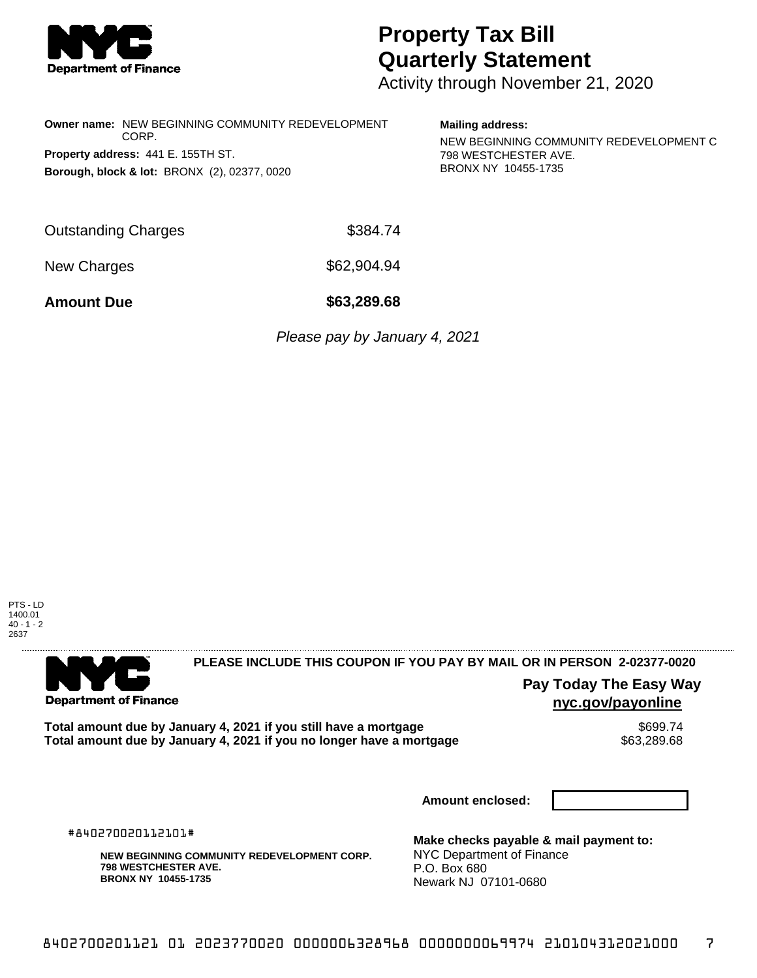

## **Property Tax Bill Quarterly Statement**

Activity through November 21, 2020

| <b>Owner name: NEW BEGINNING COMMUNITY REDEVELOPMENT</b><br>CORP.<br>Property address: 441 E. 155TH ST.<br>Borough, block & lot: BRONX (2), 02377, 0020 |                               | <b>Mailing address:</b><br>NEW BEGINNING COMMUNITY REDEVELOPMENT C<br>798 WESTCHESTER AVE.<br>BRONX NY 10455-1735 |  |
|---------------------------------------------------------------------------------------------------------------------------------------------------------|-------------------------------|-------------------------------------------------------------------------------------------------------------------|--|
| <b>Outstanding Charges</b>                                                                                                                              | \$384.74                      |                                                                                                                   |  |
| New Charges                                                                                                                                             | \$62,904.94                   |                                                                                                                   |  |
| <b>Amount Due</b>                                                                                                                                       | \$63,289.68                   |                                                                                                                   |  |
|                                                                                                                                                         | Please pay by January 4, 2021 |                                                                                                                   |  |





## **PLEASE INCLUDE THIS COUPON IF YOU PAY BY MAIL OR IN PERSON 2-02377-0020**

**Pay Today The Easy Way nyc.gov/payonline**

**Total amount due by January 4, 2021 if you still have a mortgage**  $$699.74$ **<br>Total amount due by January 4, 2021 if you no longer have a mortgage**  $$63,289.68$ Total amount due by January 4, 2021 if you no longer have a mortgage

**Amount enclosed:**

#840270020112101#

**NEW BEGINNING COMMUNITY REDEVELOPMENT CORP. 798 WESTCHESTER AVE. BRONX NY 10455-1735**

**Make checks payable & mail payment to:** NYC Department of Finance P.O. Box 680 Newark NJ 07101-0680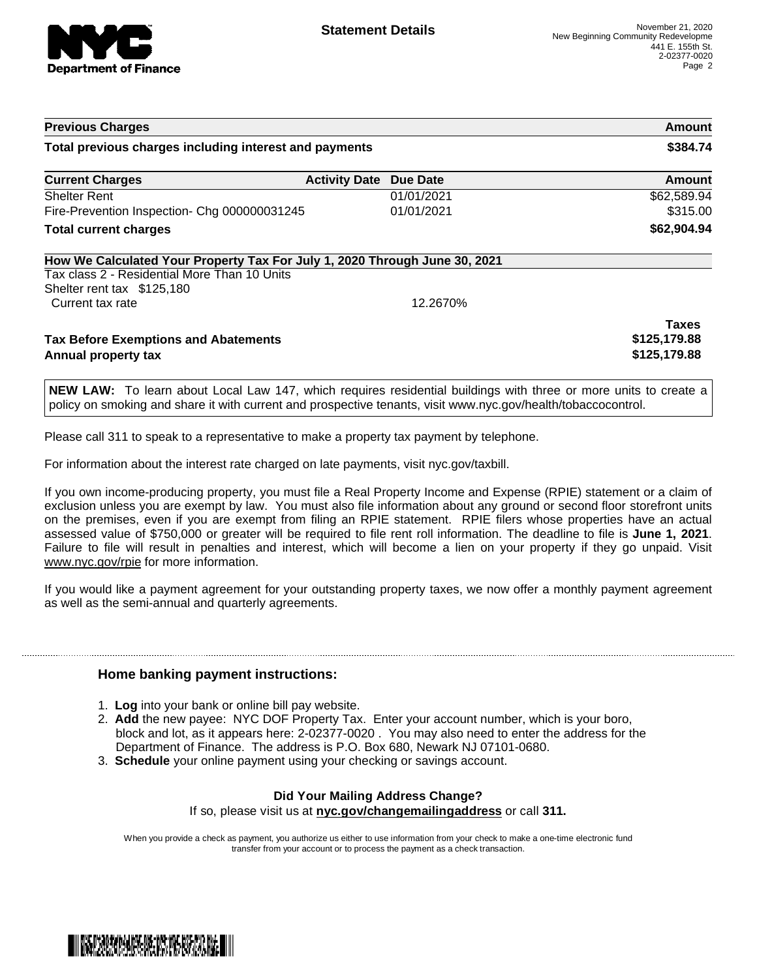

| <b>Previous Charges</b><br>Total previous charges including interest and payments                                          |  |            | Amount<br>\$384.74 |
|----------------------------------------------------------------------------------------------------------------------------|--|------------|--------------------|
|                                                                                                                            |  |            |                    |
| <b>Shelter Rent</b>                                                                                                        |  | 01/01/2021 | \$62,589.94        |
| Fire-Prevention Inspection- Chg 000000031245                                                                               |  | 01/01/2021 | \$315.00           |
| <b>Total current charges</b>                                                                                               |  |            | \$62,904.94        |
| How We Calculated Your Property Tax For July 1, 2020 Through June 30, 2021<br>Tax class 2 - Residential More Than 10 Units |  |            |                    |
| Shelter rent tax \$125,180                                                                                                 |  |            |                    |
| Current tax rate                                                                                                           |  | 12.2670%   |                    |
|                                                                                                                            |  |            | <b>Taxes</b>       |
| <b>Tax Before Exemptions and Abatements</b>                                                                                |  |            | \$125,179.88       |
| Annual property tax                                                                                                        |  |            | \$125,179.88       |

**NEW LAW:** To learn about Local Law 147, which requires residential buildings with three or more units to create a policy on smoking and share it with current and prospective tenants, visit www.nyc.gov/health/tobaccocontrol.

Please call 311 to speak to a representative to make a property tax payment by telephone.

For information about the interest rate charged on late payments, visit nyc.gov/taxbill.

If you own income-producing property, you must file a Real Property Income and Expense (RPIE) statement or a claim of exclusion unless you are exempt by law. You must also file information about any ground or second floor storefront units on the premises, even if you are exempt from filing an RPIE statement. RPIE filers whose properties have an actual assessed value of \$750,000 or greater will be required to file rent roll information. The deadline to file is **June 1, 2021**. Failure to file will result in penalties and interest, which will become a lien on your property if they go unpaid. Visit [www.nyc.gov/rpie](https://gcc01.safelinks.protection.outlook.com/?url=http%3A%2F%2Fwww.nyc.gov%2Frpie&data=04%7C01%7CNopperB%40finance.nyc.gov%7Cb5441c0febda4654c59308d871e42e3d%7C32f56fc75f814e22a95b15da66513bef%7C0%7C0%7C637384572119592751%7CUnknown%7CTWFpbGZsb3d8eyJWIjoiMC4wLjAwMDAiLCJQIjoiV2luMzIiLCJBTiI6Ik1haWwiLCJXVCI6Mn0%3D%7C1000&sdata=5r9tfjT5xGtYBarIoWvpryLYlBW%2BnkEP80XChdlWHLU%3D&reserved=0) for more information.

If you would like a payment agreement for your outstanding property taxes, we now offer a monthly payment agreement as well as the semi-annual and quarterly agreements.

## **Home banking payment instructions:**

- 1. **Log** into your bank or online bill pay website.
- 2. **Add** the new payee: NYC DOF Property Tax. Enter your account number, which is your boro, block and lot, as it appears here: 2-02377-0020 . You may also need to enter the address for the Department of Finance. The address is P.O. Box 680, Newark NJ 07101-0680.
- 3. **Schedule** your online payment using your checking or savings account.

## **Did Your Mailing Address Change?**

If so, please visit us at **nyc.gov/changemailingaddress** or call **311.**

When you provide a check as payment, you authorize us either to use information from your check to make a one-time electronic fund transfer from your account or to process the payment as a check transaction.